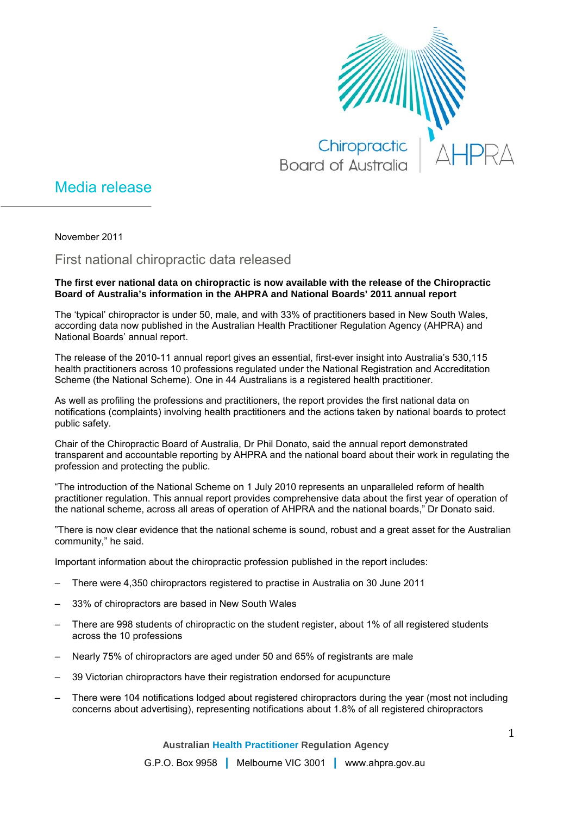

## Media release

November 2011

First national chiropractic data released

## **The first ever national data on chiropractic is now available with the release of the Chiropractic Board of Australia's information in the AHPRA and National Boards' 2011 annual report**

The 'typical' chiropractor is under 50, male, and with 33% of practitioners based in New South Wales, according data now published in the Australian Health Practitioner Regulation Agency (AHPRA) and National Boards' annual report.

The release of the 2010-11 annual report gives an essential, first-ever insight into Australia's 530,115 health practitioners across 10 professions regulated under the National Registration and Accreditation Scheme (the National Scheme). One in 44 Australians is a registered health practitioner.

As well as profiling the professions and practitioners, the report provides the first national data on notifications (complaints) involving health practitioners and the actions taken by national boards to protect public safety.

Chair of the Chiropractic Board of Australia, Dr Phil Donato, said the annual report demonstrated transparent and accountable reporting by AHPRA and the national board about their work in regulating the profession and protecting the public.

"The introduction of the National Scheme on 1 July 2010 represents an unparalleled reform of health practitioner regulation. This annual report provides comprehensive data about the first year of operation of the national scheme, across all areas of operation of AHPRA and the national boards," Dr Donato said.

"There is now clear evidence that the national scheme is sound, robust and a great asset for the Australian community," he said.

Important information about the chiropractic profession published in the report includes:

- There were 4,350 chiropractors registered to practise in Australia on 30 June 2011
- 33% of chiropractors are based in New South Wales
- There are 998 students of chiropractic on the student register, about 1% of all registered students across the 10 professions
- Nearly 75% of chiropractors are aged under 50 and 65% of registrants are male
- 39 Victorian chiropractors have their registration endorsed for acupuncture
- There were 104 notifications lodged about registered chiropractors during the year (most not including concerns about advertising), representing notifications about 1.8% of all registered chiropractors

**Australian Health Practitioner Regulation Agency**